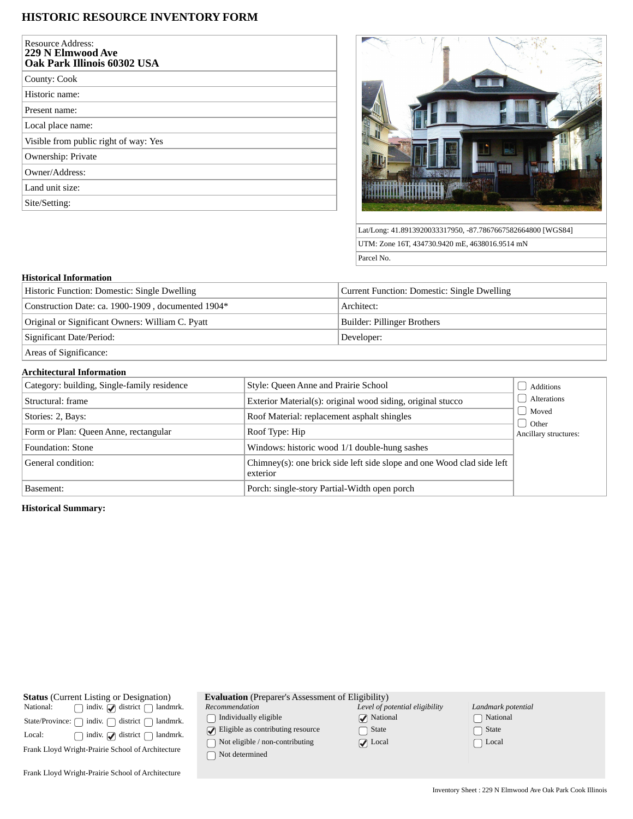# **HISTORIC RESOURCE INVENTORY FORM**

| <b>Resource Address:</b><br>229 N Elmwood Ave<br>Oak Park Illinois 60302 USA |
|------------------------------------------------------------------------------|
| County: Cook                                                                 |
| Historic name:                                                               |
| Present name:                                                                |
| Local place name:                                                            |
| Visible from public right of way: Yes                                        |
| Ownership: Private                                                           |
| Owner/Address:                                                               |
| Land unit size:                                                              |
| Site/Setting:                                                                |



Lat/Long: 41.8913920033317950, -87.7867667582664800 [WGS84] UTM: Zone 16T, 434730.9420 mE, 4638016.9514 mN Parcel No.

### **Historical Information**

| Historic Function: Domestic: Single Dwelling       | Current Function: Domestic: Single Dwelling |  |
|----------------------------------------------------|---------------------------------------------|--|
| Construction Date: ca. 1900-1909, documented 1904* | Architect:                                  |  |
| Original or Significant Owners: William C. Pyatt   | Builder: Pillinger Brothers                 |  |
| Significant Date/Period:                           | Developer:                                  |  |
| Areas of Significance:                             |                                             |  |

## **Architectural Information**

| Category: building, Single-family residence | Style: Queen Anne and Prairie School                                               | Additions             |
|---------------------------------------------|------------------------------------------------------------------------------------|-----------------------|
| Structural: frame                           | Exterior Material(s): original wood siding, original stucco                        | Alterations           |
| Stories: 2, Bays:                           | Roof Material: replacement asphalt shingles                                        | Moved<br><b>Other</b> |
| Form or Plan: Queen Anne, rectangular       | Roof Type: Hip                                                                     | Ancillary structures: |
| Foundation: Stone                           | Windows: historic wood 1/1 double-hung sashes                                      |                       |
| General condition:                          | Chimney(s): one brick side left side slope and one Wood clad side left<br>exterior |                       |
| Basement:                                   | Porch: single-story Partial-Width open porch                                       |                       |

### **Historical Summary:**

| <b>Status</b> (Current Listing or Designation)<br>National:            |  | $\Box$ indiv. $\Box$ district $\Box$ landmrk. |
|------------------------------------------------------------------------|--|-----------------------------------------------|
| State/Province: $\bigcap$ indiv. $\bigcap$ district $\bigcap$ landmrk. |  |                                               |
| Local:                                                                 |  | $\Box$ indiv. $\Box$ district $\Box$ landmrk. |
| Frank Lloyd Wright-Prairie School of Architecture                      |  |                                               |
|                                                                        |  |                                               |

| <b>Evaluation</b> (Preparer's Assessment of Eligibility) |
|----------------------------------------------------------|
|                                                          |

*Recommendation*

 $\hfill\textstyle\bigcap\textstyle\textstyle\bigcap\textstyle\textstyle\bigcap\textstyle\textstyle\textstyle\bigcap\textstyle\textstyle\bigcap\textstyle\textstyle\big$ 

 $\bigcirc$  Eligible as contributing resource

 $\hfill\textcolor{red}{\bigcirc}$  Not eligible / non-contributing

 $\hfill\Box$ <br> <br> Not determined

| Level of potential eligibility |
|--------------------------------|
| $\sqrt{\phantom{a}}$ National  |
| $\Box$ State                   |
| $\sqrt{\phantom{a}}$ Local     |

| Landmark potential         |
|----------------------------|
| □ National                 |
| $\lceil \ \rceil$ State    |
| $\lceil \;\; \rceil$ Local |

Frank Lloyd Wright-Prairie School of Architecture